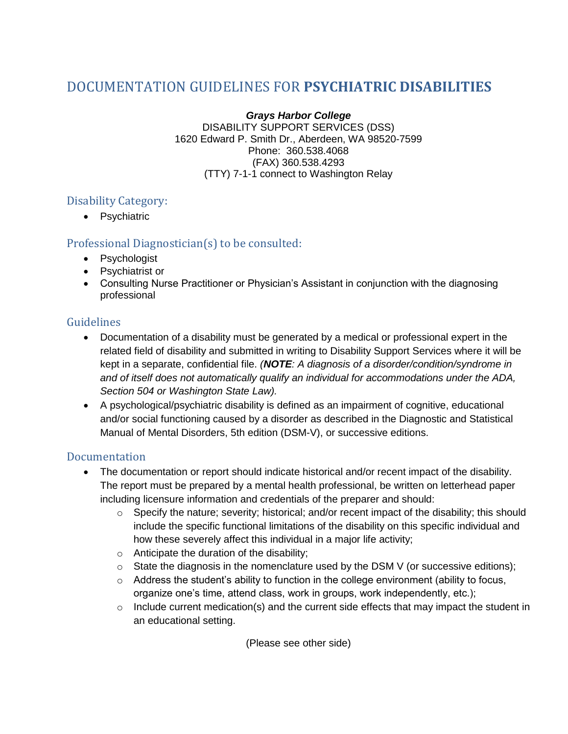# DOCUMENTATION GUIDELINES FOR **PSYCHIATRIC DISABILITIES**

*Grays Harbor College* DISABILITY SUPPORT SERVICES (DSS) 1620 Edward P. Smith Dr., Aberdeen, WA 98520-7599 Phone: 360.538.4068 (FAX) 360.538.4293 (TTY) 7-1-1 connect to Washington Relay

## Disability Category:

• Psychiatric

### Professional Diagnostician(s) to be consulted:

- Psychologist
- Psychiatrist or
- Consulting Nurse Practitioner or Physician's Assistant in conjunction with the diagnosing professional

### Guidelines

- Documentation of a disability must be generated by a medical or professional expert in the related field of disability and submitted in writing to Disability Support Services where it will be kept in a separate, confidential file. *(NOTE: A diagnosis of a disorder/condition/syndrome in and of itself does not automatically qualify an individual for accommodations under the ADA, Section 504 or Washington State Law).*
- A psychological/psychiatric disability is defined as an impairment of cognitive, educational and/or social functioning caused by a disorder as described in the Diagnostic and Statistical Manual of Mental Disorders, 5th edition (DSM-V), or successive editions.

### Documentation

- The documentation or report should indicate historical and/or recent impact of the disability. The report must be prepared by a mental health professional, be written on letterhead paper including licensure information and credentials of the preparer and should:
	- o Specify the nature; severity; historical; and/or recent impact of the disability; this should include the specific functional limitations of the disability on this specific individual and how these severely affect this individual in a major life activity;
	- o Anticipate the duration of the disability;
	- $\circ$  State the diagnosis in the nomenclature used by the DSM V (or successive editions);
	- $\circ$  Address the student's ability to function in the college environment (ability to focus, organize one's time, attend class, work in groups, work independently, etc.);
	- o Include current medication(s) and the current side effects that may impact the student in an educational setting.

(Please see other side)